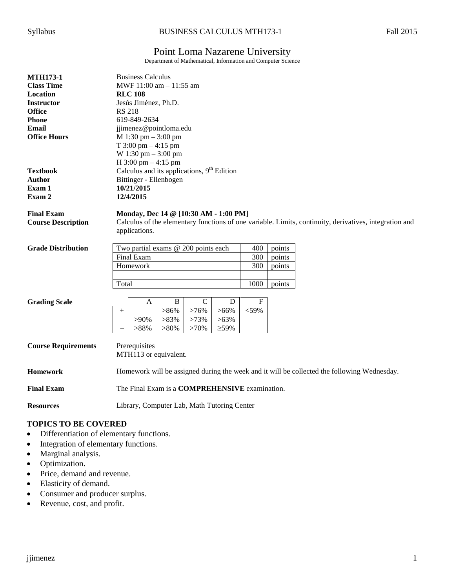# Point Loma Nazarene University

Department of Mathematical, Information and Computer Science

| <b>MTH173-1</b>            | <b>Business Calculus</b>                                                                               |
|----------------------------|--------------------------------------------------------------------------------------------------------|
| <b>Class Time</b>          | MWF 11:00 am - 11:55 am                                                                                |
| Location                   | <b>RLC 108</b>                                                                                         |
| <b>Instructor</b>          | Jesús Jiménez, Ph.D.                                                                                   |
| <b>Office</b>              | <b>RS 218</b>                                                                                          |
| <b>Phone</b>               | 619-849-2634                                                                                           |
| <b>Email</b>               | jjimenez@pointloma.edu                                                                                 |
| <b>Office Hours</b>        | $M 1:30$ pm $- 3:00$ pm                                                                                |
|                            | T $3:00 \text{ pm} - 4:15 \text{ pm}$                                                                  |
|                            | W 1:30 pm $-$ 3:00 pm                                                                                  |
|                            | $H$ 3:00 pm $-$ 4:15 pm                                                                                |
| <b>Textbook</b>            | Calculus and its applications, $9th$ Edition                                                           |
| <b>Author</b>              | Bittinger - Ellenbogen                                                                                 |
| Exam 1                     | 10/21/2015                                                                                             |
| Exam 2                     | 12/4/2015                                                                                              |
|                            |                                                                                                        |
| <b>Final Exam</b>          | Monday, Dec 14 @ [10:30 AM - 1:00 PM]                                                                  |
| <b>Course Description</b>  | Calculus of the elementary functions of one variable. Limits, continuity, derivatives, integration and |
|                            | applications.                                                                                          |
|                            |                                                                                                        |
| <b>Grade Distribution</b>  | Two partial exams @ 200 points each<br>400<br>points                                                   |
|                            | Final Exam<br>300<br>points                                                                            |
|                            | Homework<br>300<br>points                                                                              |
|                            |                                                                                                        |
|                            | 1000<br>Total<br>points                                                                                |
|                            |                                                                                                        |
| <b>Grading Scale</b>       | $\, {\bf B}$<br>$\mathcal{C}$<br>${\bf F}$<br>D<br>A                                                   |
|                            | >76%<br>$>86\%$<br>$>66\%$<br>$<$ 59%<br>$^{+}$                                                        |
|                            | $>83\%$<br>>73%<br>$>63\%$<br>$>90\%$                                                                  |
|                            | >88%<br>$>80\%$<br>$>70\%$<br>$\geq 59\%$                                                              |
|                            |                                                                                                        |
| <b>Course Requirements</b> | Prerequisites                                                                                          |
|                            | MTH113 or equivalent.                                                                                  |
| <b>Homework</b>            | Homework will be assigned during the week and it will be collected the following Wednesday.            |
|                            |                                                                                                        |
| <b>Final Exam</b>          | The Final Exam is a COMPREHENSIVE examination.                                                         |
|                            |                                                                                                        |
| <b>Resources</b>           | Library, Computer Lab, Math Tutoring Center                                                            |
|                            |                                                                                                        |

# **TOPICS TO BE COVERED**

- Differentiation of elementary functions.
- Integration of elementary functions.
- Marginal analysis.
- Optimization.
- Price, demand and revenue.
- Elasticity of demand.
- Consumer and producer surplus.
- Revenue, cost, and profit.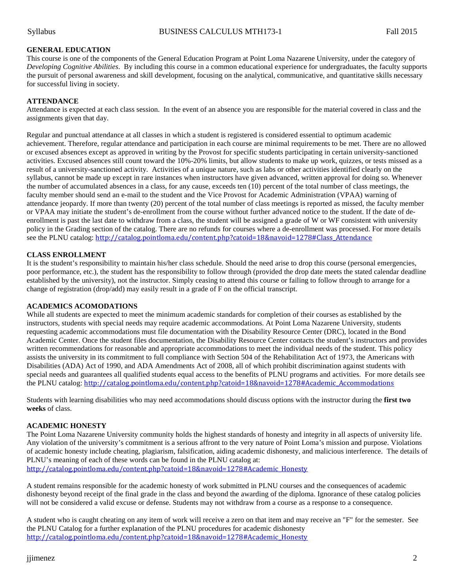# **GENERAL EDUCATION**

This course is one of the components of the General Education Program at Point Loma Nazarene University, under the category of *Developing Cognitive Abilities*. By including this course in a common educational experience for undergraduates, the faculty supports the pursuit of personal awareness and skill development, focusing on the analytical, communicative, and quantitative skills necessary for successful living in society.

### **ATTENDANCE**

Attendance is expected at each class session. In the event of an absence you are responsible for the material covered in class and the assignments given that day.

Regular and punctual attendance at all classes in which a student is registered is considered essential to optimum academic achievement. Therefore, regular attendance and participation in each course are minimal requirements to be met. There are no allowed or excused absences except as approved in writing by the Provost for specific students participating in certain university-sanctioned activities. Excused absences still count toward the 10%-20% limits, but allow students to make up work, quizzes, or tests missed as a result of a university-sanctioned activity. Activities of a unique nature, such as labs or other activities identified clearly on the syllabus, cannot be made up except in rare instances when instructors have given advanced, written approval for doing so. Whenever the number of accumulated absences in a class, for any cause, exceeds ten (10) percent of the total number of class meetings, the faculty member should send an e-mail to the student and the Vice Provost for Academic Administration (VPAA) warning of attendance jeopardy. If more than twenty (20) percent of the total number of class meetings is reported as missed, the faculty member or VPAA may initiate the student's de-enrollment from the course without further advanced notice to the student. If the date of deenrollment is past the last date to withdraw from a class, the student will be assigned a grade of W or WF consistent with university policy in the Grading section of the catalog. There are no refunds for courses where a de-enrollment was processed. For more details see the PLNU catalog: [http://catalog.pointloma.edu/content.php?catoid=18&navoid=1278#Class\\_Attendance](http://catalog.pointloma.edu/content.php?catoid=18&navoid=1278#Class_Attendance)

# **CLASS ENROLLMENT**

It is the student's responsibility to maintain his/her class schedule. Should the need arise to drop this course (personal emergencies, poor performance, etc.), the student has the responsibility to follow through (provided the drop date meets the stated calendar deadline established by the university), not the instructor. Simply ceasing to attend this course or failing to follow through to arrange for a change of registration (drop/add) may easily result in a grade of F on the official transcript.

#### **ACADEMICS ACOMODATIONS**

While all students are expected to meet the minimum academic standards for completion of their courses as established by the instructors, students with special needs may require academic accommodations. At Point Loma Nazarene University, students requesting academic accommodations must file documentation with the Disability Resource Center (DRC), located in the Bond Academic Center. Once the student files documentation, the Disability Resource Center contacts the student's instructors and provides written recommendations for reasonable and appropriate accommodations to meet the individual needs of the student. This policy assists the university in its commitment to full compliance with Section 504 of the Rehabilitation Act of 1973, the Americans with Disabilities (ADA) Act of 1990, and ADA Amendments Act of 2008, all of which prohibit discrimination against students with special needs and guarantees all qualified students equal access to the benefits of PLNU programs and activities. For more details see the PLNU catalog: [http://catalog.pointloma.edu/content.php?catoid=18&navoid=1278#Academic\\_Accommodations](http://catalog.pointloma.edu/content.php?catoid=18&navoid=1278#Academic_Accommodations)

Students with learning disabilities who may need accommodations should discuss options with the instructor during the **first two weeks** of class.

#### **ACADEMIC HONESTY**

The Point Loma Nazarene University community holds the highest standards of honesty and integrity in all aspects of university life. Any violation of the university's commitment is a serious affront to the very nature of Point Loma's mission and purpose. Violations of academic honesty include cheating, plagiarism, falsification, aiding academic dishonesty, and malicious interference. The details of PLNU's meaning of each of these words can be found in the PLNU catalog at: [http://catalog.pointloma.edu/content.php?catoid=18&navoid=1278#Academic\\_Honesty](http://catalog.pointloma.edu/content.php?catoid=18&navoid=1278#Academic_Honesty)

A student remains responsible for the academic honesty of work submitted in PLNU courses and the consequences of academic dishonesty beyond receipt of the final grade in the class and beyond the awarding of the diploma. Ignorance of these catalog policies will not be considered a valid excuse or defense. Students may not withdraw from a course as a response to a consequence.

A student who is caught cheating on any item of work will receive a zero on that item and may receive an "F" for the semester. See the PLNU Catalog for a further explanation of the PLNU procedures for academic dishonesty [http://catalog.pointloma.edu/content.php?catoid=18&navoid=1278#Academic\\_Honesty](http://catalog.pointloma.edu/content.php?catoid=18&navoid=1278#Academic_Honesty)